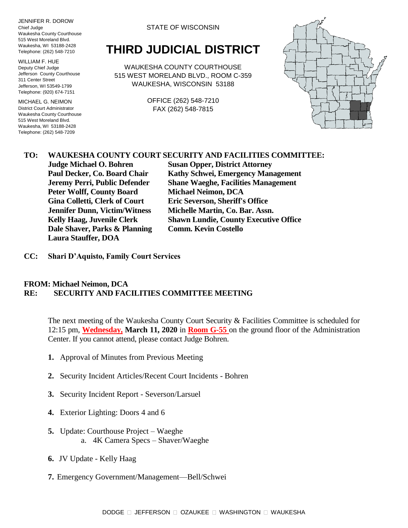JENNIFER R. DOROW Chief Judge Waukesha County Courthouse 515 West Moreland Blvd. Waukesha, WI 53188-2428 Telephone: (262) 548-7210

WILLIAM F. HUE Deputy Chief Judge Jefferson County Courthouse 311 Center Street Jefferson, WI 53549-1799 Telephone: (920) 674-7151

MICHAEL G. NEIMON District Court Administrator Waukesha County Courthouse 515 West Moreland Blvd. Waukesha, WI 53188-2428 Telephone: (262) 548-7209

STATE OF WISCONSIN

## **THIRD JUDICIAL DISTRICT**

WAUKESHA COUNTY COURTHOUSE 515 WEST MORELAND BLVD., ROOM C-359 WAUKESHA, WISCONSIN 53188

> OFFICE (262) 548-7210 FAX (262) 548-7815



## **TO: WAUKESHA COUNTY COURT SECURITY AND FACILITIES COMMITTEE:**

**Peter Wolff, County Board Michael Neimon, DCA Gina Colletti, Clerk of Court Eric Severson, Sheriff's Office Jennifer Dunn, Victim/Witness Michelle Martin, Co. Bar. Assn. Dale Shaver, Parks & Planning Comm. Kevin Costello Laura Stauffer, DOA**

**Judge Michael O. Bohren Susan Opper, District Attorney Paul Decker, Co. Board Chair Kathy Schwei, Emergency Management Jeremy Perri, Public Defender Shane Waeghe, Facilities Management Kelly Haag, Juvenile Clerk Shawn Lundie, County Executive Office**

**CC: Shari D'Aquisto, Family Court Services**

## **FROM: Michael Neimon, DCA RE: SECURITY AND FACILITIES COMMITTEE MEETING**

The next meeting of the Waukesha County Court Security & Facilities Committee is scheduled for 12:15 pm, **Wednesday, March 11, 2020** in **Room G-55** on the ground floor of the Administration Center. If you cannot attend, please contact Judge Bohren.

- **1.** Approval of Minutes from Previous Meeting
- **2.** Security Incident Articles/Recent Court Incidents Bohren
- **3.** Security Incident Report Severson/Larsuel
- **4.** Exterior Lighting: Doors 4 and 6
- **5.** Update: Courthouse Project Waeghe a. 4K Camera Specs – Shaver/Waeghe
- **6.** JV Update Kelly Haag
- **7.** Emergency Government/Management—Bell/Schwei